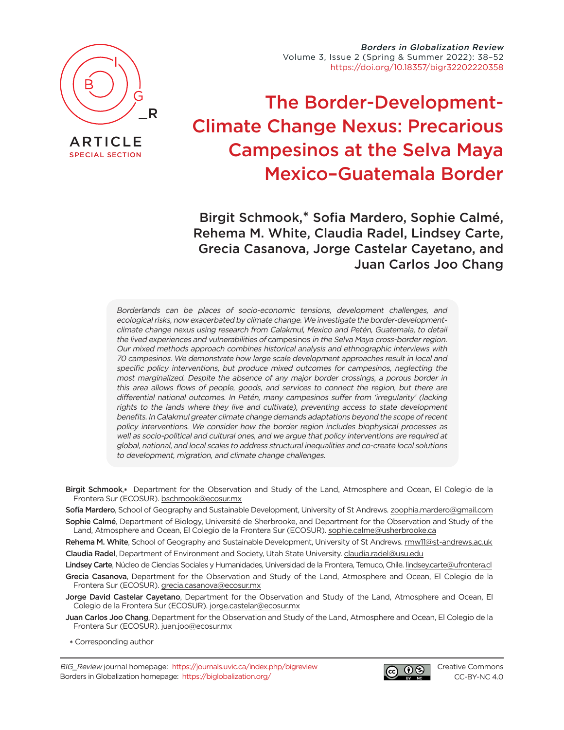

[SPECIAL SECTION](https://journals.uvic.ca/index.php/bigreview/issue/view/1554)

Borders in Globalization Review Volume 3, Issue 2 (Spring & Summer 2022): 38–52 [https://doi.org/10.18357/bigr32202220358](https://doi.org/10.18357/bigr32202220358 )

# The Border-Development-Climate Change Nexus: Precarious Campesinos at the Selva Maya Mexico–Guatemala Border

Birgit Schmook,\* Sofia Mardero, Sophie Calmé, Rehema M. White, Claudia Radel, Lindsey Carte, Grecia Casanova, Jorge Castelar Cayetano, and Juan Carlos Joo Chang

Borderlands can be places of socio-economic tensions, development challenges, and ecological risks, now exacerbated by climate change. We investigate the border-developmentclimate change nexus using research from Calakmul, Mexico and Petén, Guatemala, to detail the lived experiences and vulnerabilities of campesinos in the Selva Maya cross-border region. Our mixed methods approach combines historical analysis and ethnographic interviews with 70 campesinos. We demonstrate how large scale development approaches result in local and specific policy interventions, but produce mixed outcomes for campesinos, neglecting the most marginalized. Despite the absence of any major border crossings, a porous border in this area allows flows of people, goods, and services to connect the region, but there are differential national outcomes. In Petén, many campesinos suffer from 'irregularity' (lacking rights to the lands where they live and cultivate), preventing access to state development benefits. In Calakmul greater climate change demands adaptations beyond the scope of recent policy interventions. We consider how the border region includes biophysical processes as well as socio-political and cultural ones, and we argue that policy interventions are required at global, national, and local scales to address structural inequalities and co-create local solutions to development, migration, and climate change challenges.

Birgit Schmook, **\*** Department for the Observation and Study of the Land, Atmosphere and Ocean, El Colegio de la Frontera Sur (ECOSUR). [bschmook@ecosur.mx](mailto:bschmook%40ecosur.mx?subject=)

Sofía Mardero, School of Geography and Sustainable Development, University of St Andrews. [zoophia.mardero@gmail.com](mailto:zoophia.mardero%40gmail.com?subject=) Sophie Calmé, Department of Biology, Université de Sherbrooke, and Department for the Observation and Study of the

Land, Atmosphere and Ocean, El Colegio de la Frontera Sur (ECOSUR). [sophie.calme@usherbrooke.ca](mailto:sophie.calme%40usherbrooke.ca?subject=)

Rehema M. White, School of Geography and Sustainable Development, University of St Andrews. [rmw11@st-andrews.ac.uk](mailto:rmw11%40st-andrews.ac.uk?subject=) Claudia Radel, Department of Environment and Society, Utah State University. [claudia.radel@usu.edu](mailto:claudia.radel%40usu.edu?subject=)

Lindsey Carte, Núcleo de Ciencias Sociales y Humanidades, Universidad de la Frontera, Temuco, Chile. [lindsey.carte@ufrontera.cl](mailto:lindsey.carte%40ufrontera.cl?subject=)

Grecia Casanova, Department for the Observation and Study of the Land, Atmosphere and Ocean, El Colegio de la Frontera Sur (ECOSUR). [grecia.casanova@ecosur.mx](mailto:grecia.casanova%40ecosur.mx?subject=)

Jorge David Castelar Cayetano, Department for the Observation and Study of the Land, Atmosphere and Ocean, El Colegio de la Frontera Sur (ECOSUR). [jorge.castelar@ecosur.mx](mailto:jorge.castelar%40ecosur.mx?subject=)

Juan Carlos Joo Chang, Department for the Observation and Study of the Land, Atmosphere and Ocean, El Colegio de la Frontera Sur (ECOSUR). [juan.joo@ecosur.mx](mailto:juan.joo%40ecosur.mx?subject=)

 **\*** Corresponding author

BIG\_Review journal homepage: <https://journals.uvic.ca/index.php/bigreview> Borders in Globalization homepage: <https://biglobalization.org/>

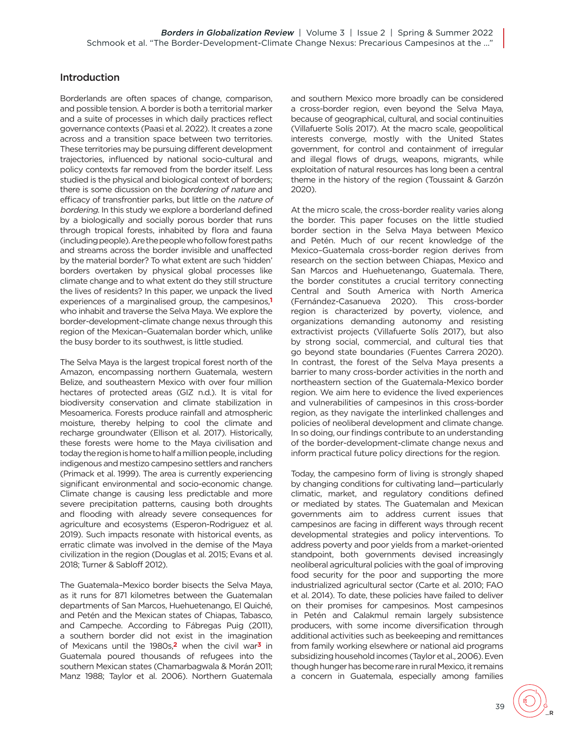## **Introduction**

Borderlands are often spaces of change, comparison, and possible tension. A border is both a territorial marker and a suite of processes in which daily practices reflect governance contexts (Paasi et al. 2022). It creates a zone across and a transition space between two territories. These territories may be pursuing different development trajectories, influenced by national socio-cultural and policy contexts far removed from the border itself. Less studied is the physical and biological context of borders; there is some dicussion on the *bordering of nature* and efficacy of transfrontier parks, but little on the nature of bordering. In this study we explore a borderland defined by a biologically and socially porous border that runs through tropical forests, inhabited by flora and fauna (including people). Are the people who follow forest paths and streams across the border invisible and unaffected by the material border? To what extent are such 'hidden' borders overtaken by physical global processes like climate change and to what extent do they still structure the lives of residents? In this paper, we unpack the lived experiences of a marginalised group, the campesinos, **[1](#page-11-0)** who inhabit and traverse the Selva Maya. We explore the border-development-climate change nexus through this region of the Mexican–Guatemalan border which, unlike the busy border to its southwest, is little studied.

<span id="page-1-0"></span>The Selva Maya is the largest tropical forest north of the Amazon, encompassing northern Guatemala, western Belize, and southeastern Mexico with over four million hectares of protected areas (GIZ n.d.). It is vital for biodiversity conservation and climate stabilization in Mesoamerica. Forests produce rainfall and atmospheric moisture, thereby helping to cool the climate and recharge groundwater (Ellison et al. 2017). Historically, these forests were home to the Maya civilisation and today the region is home to half a million people, including indigenous and mestizo campesino settlers and ranchers (Primack et al. 1999). The area is currently experiencing significant environmental and socio-economic change. Climate change is causing less predictable and more severe precipitation patterns, causing both droughts and flooding with already severe consequences for agriculture and ecosystems (Esperon-Rodriguez et al. 2019). Such impacts resonate with historical events, as erratic climate was involved in the demise of the Maya civilization in the region (Douglas et al. 2015; Evans et al. 2018; Turner & Sabloff 2012).

<span id="page-1-1"></span>The Guatemala–Mexico border bisects the Selva Maya, as it runs for 871 kilometres between the Guatemalan departments of San Marcos, Huehuetenango, El Quiché, and Petén and the Mexican states of Chiapas, Tabasco, and Campeche. According to Fábregas Puig (2011), a southern border did not exist in the imagination of Mexicans until the 1980s, **[2](#page-11-1)** when the civil w[ar](#page-11-2)**3** in Guatemala poured thousands of refugees into the southern Mexican states (Chamarbagwala & Morán 2011; Manz 1988; Taylor et al. 2006). Northern Guatemala

and southern Mexico more broadly can be considered a cross-border region, even beyond the Selva Maya, because of geographical, cultural, and social continuities (Villafuerte Solís 2017). At the macro scale, geopolitical interests converge, mostly with the United States government, for control and containment of irregular and illegal flows of drugs, weapons, migrants, while exploitation of natural resources has long been a central theme in the history of the region (Toussaint & Garzón 2020).

At the micro scale, the cross-border reality varies along the border. This paper focuses on the little studied border section in the Selva Maya between Mexico and Petén. Much of our recent knowledge of the Mexico–Guatemala cross-border region derives from research on the section between Chiapas, Mexico and San Marcos and Huehuetenango, Guatemala. There, the border constitutes a crucial territory connecting Central and South America with North America (Fernández-Casanueva 2020). This cross-border region is characterized by poverty, violence, and organizations demanding autonomy and resisting extractivist projects (Villafuerte Solís 2017), but also by strong social, commercial, and cultural ties that go beyond state boundaries (Fuentes Carrera 2020). In contrast, the forest of the Selva Maya presents a barrier to many cross-border activities in the north and northeastern section of the Guatemala-Mexico border region. We aim here to evidence the lived experiences and vulnerabilities of campesinos in this cross-border region, as they navigate the interlinked challenges and policies of neoliberal development and climate change. In so doing, our findings contribute to an understanding of the border-development-climate change nexus and inform practical future policy directions for the region.

Today, the campesino form of living is strongly shaped by changing conditions for cultivating land—particularly climatic, market, and regulatory conditions defined or mediated by states. The Guatemalan and Mexican governments aim to address current issues that campesinos are facing in different ways through recent developmental strategies and policy interventions. To address poverty and poor yields from a market-oriented standpoint, both governments devised increasingly neoliberal agricultural policies with the goal of improving food security for the poor and supporting the more industrialized agricultural sector (Carte et al. 2010; FAO et al. 2014). To date, these policies have failed to deliver on their promises for campesinos. Most campesinos in Petén and Calakmul remain largely subsistence producers, with some income diversification through additional activities such as beekeeping and remittances from family working elsewhere or national aid programs subsidizing household incomes (Taylor et al., 2006). Even though hunger has become rare in rural Mexico, it remains a concern in Guatemala, especially among families

39

\_R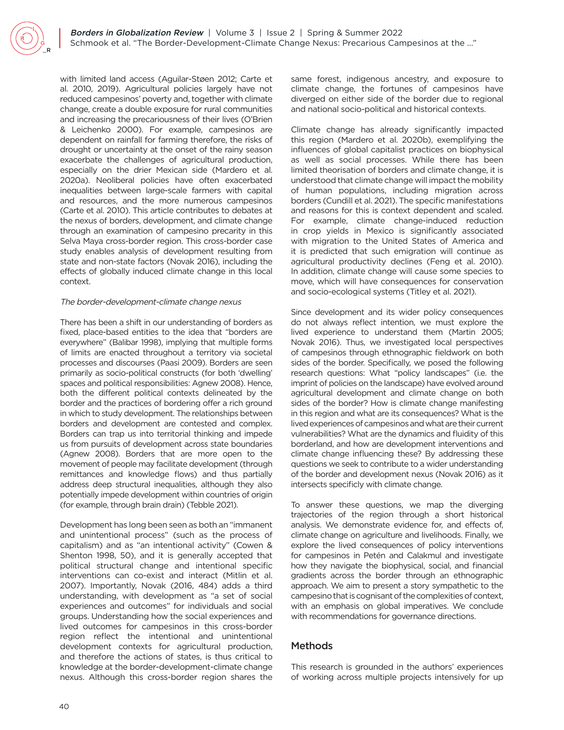with limited land access (Aguilar-Støen 2012; Carte et al. 2010, 2019). Agricultural policies largely have not reduced campesinos' poverty and, together with climate change, create a double exposure for rural communities and increasing the precariousness of their lives (O'Brien & Leichenko 2000). For example, campesinos are dependent on rainfall for farming therefore, the risks of drought or uncertainty at the onset of the rainy season exacerbate the challenges of agricultural production, especially on the drier Mexican side (Mardero et al. 2020a). Neoliberal policies have often exacerbated inequalities between large-scale farmers with capital and resources, and the more numerous campesinos (Carte et al. 2010). This article contributes to debates at the nexus of borders, development, and climate change through an examination of campesino precarity in this Selva Maya cross-border region. This cross-border case study enables analysis of development resulting from state and non-state factors (Novak 2016), including the effects of globally induced climate change in this local context.

#### The border-development-climate change nexus

There has been a shift in our understanding of borders as fixed, place-based entities to the idea that "borders are everywhere" (Balibar 1998), implying that multiple forms of limits are enacted throughout a territory via societal processes and discourses (Paasi 2009). Borders are seen primarily as socio-political constructs (for both 'dwelling' spaces and political responsibilities: Agnew 2008). Hence, both the different political contexts delineated by the border and the practices of bordering offer a rich ground in which to study development. The relationships between borders and development are contested and complex. Borders can trap us into territorial thinking and impede us from pursuits of development across state boundaries (Agnew 2008). Borders that are more open to the movement of people may facilitate development (through remittances and knowledge flows) and thus partially address deep structural inequalities, although they also potentially impede development within countries of origin (for example, through brain drain) (Tebble 2021).

Development has long been seen as both an "immanent and unintentional process" (such as the process of capitalism) and as "an intentional activity" (Cowen & Shenton 1998, 50), and it is generally accepted that political structural change and intentional specific interventions can co-exist and interact (Mitlin et al. 2007). Importantly, Novak (2016, 484) adds a third understanding, with development as "a set of social experiences and outcomes" for individuals and social groups. Understanding how the social experiences and lived outcomes for campesinos in this cross-border region reflect the intentional and unintentional development contexts for agricultural production, and therefore the actions of states, is thus critical to knowledge at the border-development-climate change nexus. Although this cross-border region shares the

same forest, indigenous ancestry, and exposure to climate change, the fortunes of campesinos have diverged on either side of the border due to regional and national socio-political and historical contexts.

Climate change has already significantly impacted this region (Mardero et al. 2020b), exemplifying the influences of global capitalist practices on biophysical as well as social processes. While there has been limited theorisation of borders and climate change, it is understood that climate change will impact the mobility of human populations, including migration across borders (Cundill et al. 2021). The specific manifestations and reasons for this is context dependent and scaled. For example, climate change-induced reduction in crop yields in Mexico is significantly associated with migration to the United States of America and it is predicted that such emigration will continue as agricultural productivity declines (Feng et al. 2010). In addition, climate change will cause some species to move, which will have consequences for conservation and socio-ecological systems (Titley et al. 2021).

Since development and its wider policy consequences do not always reflect intention, we must explore the lived experience to understand them (Martin 2005; Novak 2016). Thus, we investigated local perspectives of campesinos through ethnographic fieldwork on both sides of the border. Specifically, we posed the following research questions: What "policy landscapes" (i.e. the imprint of policies on the landscape) have evolved around agricultural development and climate change on both sides of the border? How is climate change manifesting in this region and what are its consequences? What is the lived experiences of campesinos and what are their current vulnerabilities? What are the dynamics and fluidity of this borderland, and how are development interventions and climate change influencing these? By addressing these questions we seek to contribute to a wider understanding of the border and development nexus (Novak 2016) as it intersects specificly with climate change.

To answer these questions, we map the diverging trajectories of the region through a short historical analysis. We demonstrate evidence for, and effects of, climate change on agriculture and livelihoods. Finally, we explore the lived consequences of policy interventions for campesinos in Petén and Calakmul and investigate how they navigate the biophysical, social, and financial gradients across the border through an ethnographic approach. We aim to present a story sympathetic to the campesino that is cognisant of the complexities of context, with an emphasis on global imperatives. We conclude with recommendations for governance directions.

## Methods

This research is grounded in the authors' experiences of working across multiple projects intensively for up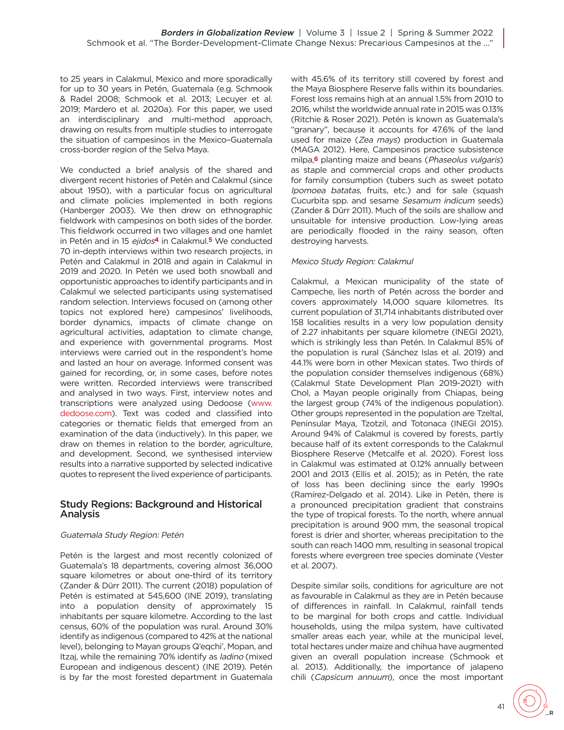to 25 years in Calakmul, Mexico and more sporadically for up to 30 years in Petén, Guatemala (e.g. Schmook & Radel 2008; Schmook et al. 2013; Lecuyer et al. 2019; Mardero et al. 2020a). For this paper, we used an interdisciplinary and multi-method approach, drawing on results from multiple studies to interrogate the situation of campesinos in the Mexico–Guatemala cross-border region of the Selva Maya.

<span id="page-3-0"></span>We conducted a brief analysis of the shared and divergent recent histories of Petén and Calakmul (since about 1950), with a particular focus on agricultural and climate policies implemented in both regions (Hanberger 2003). We then drew on ethnographic fieldwork with campesinos on both sides of the border. This fieldwork occurred in two villages and one hamlet in Petén and in 15 ejid[os](#page-11-3)**4** in Calakmul. **[5](#page-11-4)** We conducted 70 in-depth interviews within two research projects, in Petén and Calakmul in 2018 and again in Calakmul in 2019 and 2020. In Petén we used both snowball and opportunistic approaches to identify participants and in Calakmul we selected participants using systematised random selection. Interviews focused on (among other topics not explored here) campesinos' livelihoods, border dynamics, impacts of climate change on agricultural activities, adaptation to climate change, and experience with governmental programs. Most interviews were carried out in the respondent's home and lasted an hour on average. Informed consent was gained for recording, or, in some cases, before notes were written. Recorded interviews were transcribed and analysed in two ways. First, interview notes and transcriptions were analyzed using Dedoose ([www.](http://www.dedoose.com) [dedoose.com](http://www.dedoose.com)). Text was coded and classified into categories or thematic fields that emerged from an examination of the data (inductively). In this paper, we draw on themes in relation to the border, agriculture, and development. Second, we synthesised interview results into a narrative supported by selected indicative quotes to represent the lived experience of participants.

## Study Regions: Background and Historical Analysis

#### Guatemala Study Region: Petén

Petén is the largest and most recently colonized of Guatemala's 18 departments, covering almost 36,000 square kilometres or about one-third of its territory (Zander & Dürr 2011). The current (2018) population of Petén is estimated at 545,600 (INE 2019), translating into a population density of approximately 15 inhabitants per square kilometre. According to the last census, 60% of the population was rural. Around 30% identify as indigenous (compared to 42% at the national level), belonging to Mayan groups Q'eqchi', Mopan, and Itzaj, while the remaining 70% identify as ladino (mixed European and indigenous descent) (INE 2019). Petén is by far the most forested department in Guatemala

<span id="page-3-1"></span>with 45.6% of its territory still covered by forest and the Maya Biosphere Reserve falls within its boundaries. Forest loss remains high at an annual 1.5% from 2010 to 2016, whilst the worldwide annual rate in 2015 was 0.13% (Ritchie & Roser 2021). Petén is known as Guatemala's "granary", because it accounts for 47.6% of the land used for maize (Zea mays) production in Guatemala (MAGA 2012). Here, Campesinos practice subsistence milpa, **[6](#page-11-5)** planting maize and beans (Phaseolus vulgaris) as staple and commercial crops and other products for family consumption (tubers such as sweet potato Ipomoea batatas, fruits, etc.) and for sale (squash Cucurbita spp. and sesame Sesamum indicum seeds) (Zander & Dürr 2011). Much of the soils are shallow and unsuitable for intensive production. Low-lying areas are periodically flooded in the rainy season, often destroying harvests.

#### Mexico Study Region: Calakmul

Calakmul, a Mexican municipality of the state of Campeche, lies north of Petén across the border and covers approximately 14,000 square kilometres. Its current population of 31,714 inhabitants distributed over 158 localities results in a very low population density of 2.27 inhabitants per square kilometre (INEGI 2021), which is strikingly less than Petén. In Calakmul 85% of the population is rural (Sánchez Islas et al. 2019) and 44.1% were born in other Mexican states. Two thirds of the population consider themselves indigenous (68%) (Calakmul State Development Plan 2019-2021) with Chol, a Mayan people originally from Chiapas, being the largest group (74% of the indigenous population). Other groups represented in the population are Tzeltal, Peninsular Maya, Tzotzil, and Totonaca (INEGI 2015). Around 94% of Calakmul is covered by forests, partly because half of its extent corresponds to the Calakmul Biosphere Reserve (Metcalfe et al. 2020). Forest loss in Calakmul was estimated at 0.12% annually between 2001 and 2013 (Ellis et al. 2015); as in Petén, the rate of loss has been declining since the early 1990s (Ramírez-Delgado et al. 2014). Like in Petén, there is a pronounced precipitation gradient that constrains the type of tropical forests. To the north, where annual precipitation is around 900 mm, the seasonal tropical forest is drier and shorter, whereas precipitation to the south can reach 1400 mm, resulting in seasonal tropical forests where evergreen tree species dominate (Vester et al. 2007).

Despite similar soils, conditions for agriculture are not as favourable in Calakmul as they are in Petén because of differences in rainfall. In Calakmul, rainfall tends to be marginal for both crops and cattle. Individual households, using the milpa system, have cultivated smaller areas each year, while at the municipal level, total hectares under maize and chihua have augmented given an overall population increase (Schmook et al. 2013). Additionally, the importance of jalapeno chili (Capsicum annuum), once the most important

\_R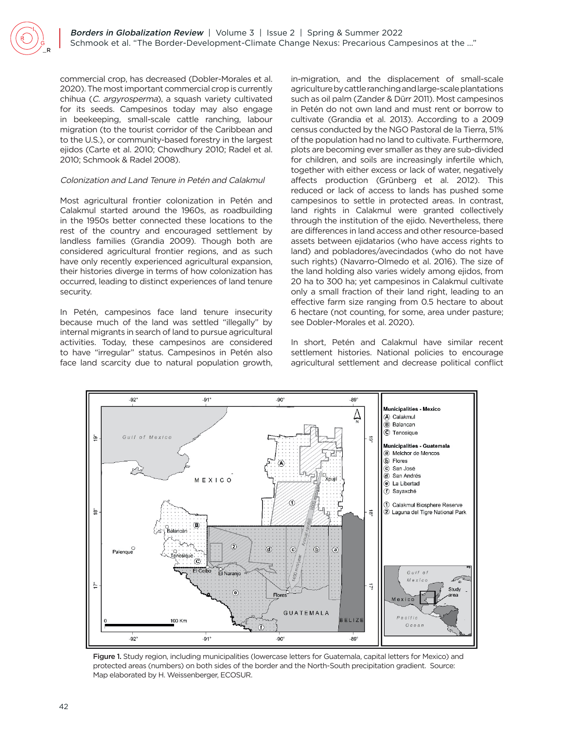commercial crop, has decreased (Dobler-Morales et al. 2020). The most important commercial crop is currently chihua (C. argyrosperma), a squash variety cultivated for its seeds. Campesinos today may also engage in beekeeping, small-scale cattle ranching, labour migration (to the tourist corridor of the Caribbean and to the U.S.), or community-based forestry in the largest ejidos (Carte et al. 2010; Chowdhury 2010; Radel et al. 2010; Schmook & Radel 2008).

#### Colonization and Land Tenure in Petén and Calakmul

Most agricultural frontier colonization in Petén and Calakmul started around the 1960s, as roadbuilding in the 1950s better connected these locations to the rest of the country and encouraged settlement by landless families (Grandia 2009). Though both are considered agricultural frontier regions, and as such have only recently experienced agricultural expansion, their histories diverge in terms of how colonization has occurred, leading to distinct experiences of land tenure security.

In Petén, campesinos face land tenure insecurity because much of the land was settled "illegally" by internal migrants in search of land to pursue agricultural activities. Today, these campesinos are considered to have "irregular" status. Campesinos in Petén also face land scarcity due to natural population growth, in-migration, and the displacement of small-scale agriculture by cattle ranching and large-scale plantations such as oil palm (Zander & Dürr 2011). Most campesinos in Petén do not own land and must rent or borrow to cultivate (Grandia et al. 2013). According to a 2009 census conducted by the NGO Pastoral de la Tierra, 51% of the population had no land to cultivate. Furthermore, plots are becoming ever smaller as they are sub-divided for children, and soils are increasingly infertile which, together with either excess or lack of water, negatively affects production (Grünberg et al. 2012). This reduced or lack of access to lands has pushed some campesinos to settle in protected areas. In contrast, land rights in Calakmul were granted collectively through the institution of the ejido. Nevertheless, there are differences in land access and other resource-based assets between ejidatarios (who have access rights to land) and pobladores/avecindados (who do not have such rights) (Navarro-Olmedo et al. 2016). The size of the land holding also varies widely among ejidos, from 20 ha to 300 ha; yet campesinos in Calakmul cultivate only a small fraction of their land right, leading to an effective farm size ranging from 0.5 hectare to about 6 hectare (not counting, for some, area under pasture; see Dobler-Morales et al. 2020).

In short, Petén and Calakmul have similar recent settlement histories. National policies to encourage agricultural settlement and decrease political conflict



Figure 1. Study region, including municipalities (lowercase letters for Guatemala, capital letters for Mexico) and protected areas (numbers) on both sides of the border and the North-South precipitation gradient. Source: Map elaborated by H. Weissenberger, ECOSUR.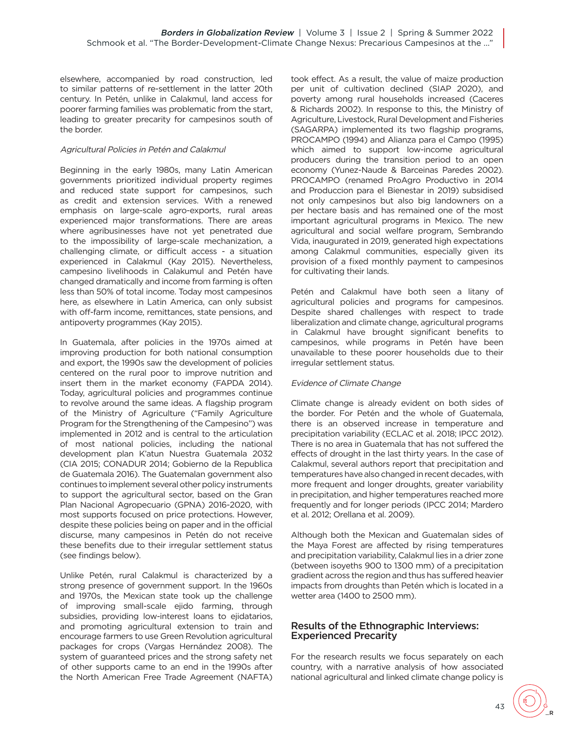elsewhere, accompanied by road construction, led to similar patterns of re-settlement in the latter 20th century. In Petén, unlike in Calakmul, land access for poorer farming families was problematic from the start, leading to greater precarity for campesinos south of the border.

#### Agricultural Policies in Petén and Calakmul

Beginning in the early 1980s, many Latin American governments prioritized individual property regimes and reduced state support for campesinos, such as credit and extension services. With a renewed emphasis on large-scale agro-exports, rural areas experienced major transformations. There are areas where agribusinesses have not yet penetrated due to the impossibility of large-scale mechanization, a challenging climate, or difficult access - a situation experienced in Calakmul (Kay 2015). Nevertheless, campesino livelihoods in Calakumul and Petén have changed dramatically and income from farming is often less than 50% of total income. Today most campesinos here, as elsewhere in Latin America, can only subsist with off-farm income, remittances, state pensions, and antipoverty programmes (Kay 2015).

In Guatemala, after policies in the 1970s aimed at improving production for both national consumption and export, the 1990s saw the development of policies centered on the rural poor to improve nutrition and insert them in the market economy (FAPDA 2014). Today, agricultural policies and programmes continue to revolve around the same ideas. A flagship program of the Ministry of Agriculture ("Family Agriculture Program for the Strengthening of the Campesino") was implemented in 2012 and is central to the articulation of most national policies, including the national development plan K'atun Nuestra Guatemala 2032 (CIA 2015; CONADUR 2014; Gobierno de la Republica de Guatemala 2016). The Guatemalan government also continues to implement several other policy instruments to support the agricultural sector, based on the Gran Plan Nacional Agropecuario (GPNA) 2016-2020, with most supports focused on price protections. However, despite these policies being on paper and in the official discurse, many campesinos in Petén do not receive these benefits due to their irregular settlement status (see findings below).

Unlike Petén, rural Calakmul is characterized by a strong presence of government support. In the 1960s and 1970s, the Mexican state took up the challenge of improving small-scale ejido farming, through subsidies, providing low-interest loans to ejidatarios, and promoting agricultural extension to train and encourage farmers to use Green Revolution agricultural packages for crops (Vargas Hernández 2008). The system of guaranteed prices and the strong safety net of other supports came to an end in the 1990s after the North American Free Trade Agreement (NAFTA)

took effect. As a result, the value of maize production per unit of cultivation declined (SIAP 2020), and poverty among rural households increased (Caceres & Richards 2002). In response to this, the Ministry of Agriculture, Livestock, Rural Development and Fisheries (SAGARPA) implemented its two flagship programs, PROCAMPO (1994) and Alianza para el Campo (1995) which aimed to support low-income agricultural producers during the transition period to an open economy (Yunez-Naude & Barceinas Paredes 2002). PROCAMPO (renamed ProAgro Productivo in 2014 and Produccion para el Bienestar in 2019) subsidised not only campesinos but also big landowners on a per hectare basis and has remained one of the most important agricultural programs in Mexico. The new agricultural and social welfare program, Sembrando Vida, inaugurated in 2019, generated high expectations among Calakmul communities, especially given its provision of a fixed monthly payment to campesinos for cultivating their lands.

Petén and Calakmul have both seen a litany of agricultural policies and programs for campesinos. Despite shared challenges with respect to trade liberalization and climate change, agricultural programs in Calakmul have brought significant benefits to campesinos, while programs in Petén have been unavailable to these poorer households due to their irregular settlement status.

## Evidence of Climate Change

Climate change is already evident on both sides of the border. For Petén and the whole of Guatemala, there is an observed increase in temperature and precipitation variability (ECLAC et al. 2018; IPCC 2012). There is no area in Guatemala that has not suffered the effects of drought in the last thirty years. In the case of Calakmul, several authors report that precipitation and temperatures have also changed in recent decades, with more frequent and longer droughts, greater variability in precipitation, and higher temperatures reached more frequently and for longer periods (IPCC 2014; Mardero et al. 2012; Orellana et al. 2009).

Although both the Mexican and Guatemalan sides of the Maya Forest are affected by rising temperatures and precipitation variability, Calakmul lies in a drier zone (between isoyeths 900 to 1300 mm) of a precipitation gradient across the region and thus has suffered heavier impacts from droughts than Petén which is located in a wetter area (1400 to 2500 mm).

## Results of the Ethnographic Interviews: Experienced Precarity

For the research results we focus separately on each country, with a narrative analysis of how associated national agricultural and linked climate change policy is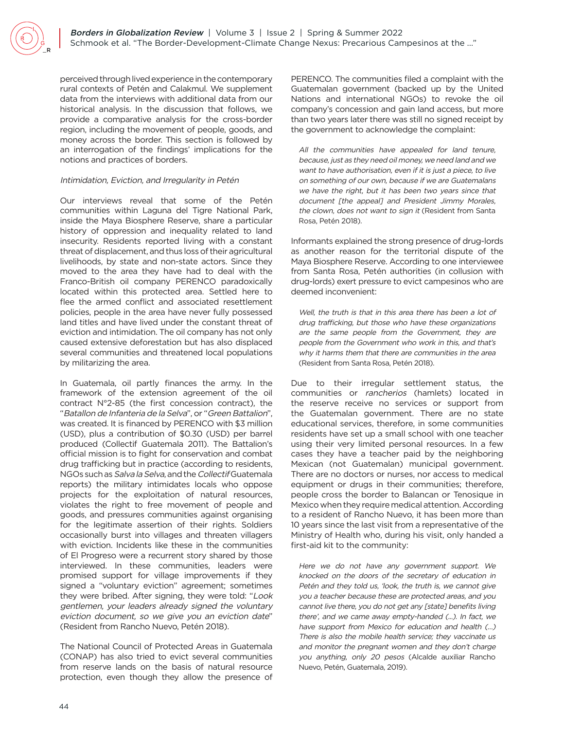perceived through lived experience in the contemporary rural contexts of Petén and Calakmul. We supplement data from the interviews with additional data from our historical analysis. In the discussion that follows, we provide a comparative analysis for the cross-border region, including the movement of people, goods, and money across the border. This section is followed by an interrogation of the findings' implications for the notions and practices of borders.

#### Intimidation, Eviction, and Irregularity in Petén

Our interviews reveal that some of the Petén communities within Laguna del Tigre National Park, inside the Maya Biosphere Reserve, share a particular history of oppression and inequality related to land insecurity. Residents reported living with a constant threat of displacement, and thus loss of their agricultural livelihoods, by state and non-state actors. Since they moved to the area they have had to deal with the Franco-British oil company PERENCO paradoxically located within this protected area. Settled here to flee the armed conflict and associated resettlement policies, people in the area have never fully possessed land titles and have lived under the constant threat of eviction and intimidation. The oil company has not only caused extensive deforestation but has also displaced several communities and threatened local populations by militarizing the area.

In Guatemala, oil partly finances the army. In the framework of the extension agreement of the oil contract N°2-85 (the first concession contract), the "Batallon de Infanteria de la Selva", or "Green Battalion", was created. It is financed by PERENCO with \$3 million (USD), plus a contribution of \$0.30 (USD) per barrel produced (Collectif Guatemala 2011). The Battalion's official mission is to fight for conservation and combat drug trafficking but in practice (according to residents, NGOs such as Salva la Selva, and the Collectif Guatemala reports) the military intimidates locals who oppose projects for the exploitation of natural resources, violates the right to free movement of people and goods, and pressures communities against organising for the legitimate assertion of their rights. Soldiers occasionally burst into villages and threaten villagers with eviction. Incidents like these in the communities of El Progreso were a recurrent story shared by those interviewed. In these communities, leaders were promised support for village improvements if they signed a "voluntary eviction" agreement; sometimes they were bribed. After signing, they were told: "Look gentlemen, your leaders already signed the voluntary eviction document, so we give you an eviction date" (Resident from Rancho Nuevo, Petén 2018).

The National Council of Protected Areas in Guatemala (CONAP) has also tried to evict several communities from reserve lands on the basis of natural resource protection, even though they allow the presence of PERENCO. The communities filed a complaint with the Guatemalan government (backed up by the United Nations and international NGOs) to revoke the oil company's concession and gain land access, but more than two years later there was still no signed receipt by the government to acknowledge the complaint:

All the communities have appealed for land tenure, because, just as they need oil money, we need land and we want to have authorisation, even if it is just a piece, to live on something of our own, because if we are Guatemalans we have the right, but it has been two years since that document [the appeal] and President Jimmy Morales, the clown, does not want to sign it (Resident from Santa Rosa, Petén 2018).

Informants explained the strong presence of drug-lords as another reason for the territorial dispute of the Maya Biosphere Reserve. According to one interviewee from Santa Rosa, Petén authorities (in collusion with drug-lords) exert pressure to evict campesinos who are deemed inconvenient:

Well, the truth is that in this area there has been a lot of drug trafficking, but those who have these organizations are the same people from the Government, they are people from the Government who work in this, and that's why it harms them that there are communities in the area (Resident from Santa Rosa, Petén 2018).

Due to their irregular settlement status, the communities or rancherios (hamlets) located in the reserve receive no services or support from the Guatemalan government. There are no state educational services, therefore, in some communities residents have set up a small school with one teacher using their very limited personal resources. In a few cases they have a teacher paid by the neighboring Mexican (not Guatemalan) municipal government. There are no doctors or nurses, nor access to medical equipment or drugs in their communities; therefore, people cross the border to Balancan or Tenosique in Mexico when they require medical attention. According to a resident of Rancho Nuevo, it has been more than 10 years since the last visit from a representative of the Ministry of Health who, during his visit, only handed a first-aid kit to the community:

Here we do not have any government support. We knocked on the doors of the secretary of education in Petén and they told us, 'look, the truth is, we cannot give you a teacher because these are protected areas, and you cannot live there, you do not get any [state] benefits living there', and we came away empty-handed (...). In fact, we have support from Mexico for education and health (…) There is also the mobile health service; they vaccinate us and monitor the pregnant women and they don't charge you anything, only 20 pesos (Alcalde auxiliar Rancho Nuevo, Petén, Guatemala, 2019).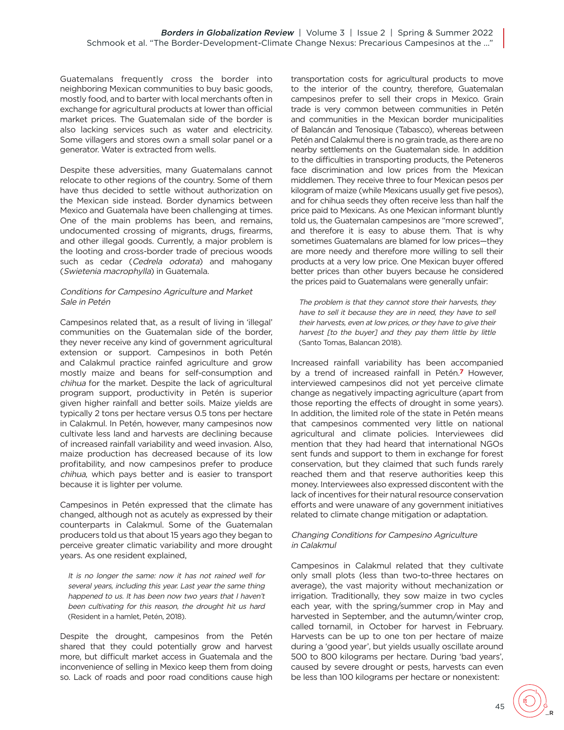Guatemalans frequently cross the border into neighboring Mexican communities to buy basic goods, mostly food, and to barter with local merchants often in exchange for agricultural products at lower than official market prices. The Guatemalan side of the border is also lacking services such as water and electricity. Some villagers and stores own a small solar panel or a generator. Water is extracted from wells.

Despite these adversities, many Guatemalans cannot relocate to other regions of the country. Some of them have thus decided to settle without authorization on the Mexican side instead. Border dynamics between Mexico and Guatemala have been challenging at times. One of the main problems has been, and remains, undocumented crossing of migrants, drugs, firearms, and other illegal goods. Currently, a major problem is the looting and cross-border trade of precious woods such as cedar (Cedrela odorata) and mahogany (Swietenia macrophylla) in Guatemala.

#### Conditions for Campesino Agriculture and Market Sale in Petén

Campesinos related that, as a result of living in 'illegal' communities on the Guatemalan side of the border, they never receive any kind of government agricultural extension or support. Campesinos in both Petén and Calakmul practice rainfed agriculture and grow mostly maize and beans for self-consumption and chihua for the market. Despite the lack of agricultural program support, productivity in Petén is superior given higher rainfall and better soils. Maize yields are typically 2 tons per hectare versus 0.5 tons per hectare in Calakmul. In Petén, however, many campesinos now cultivate less land and harvests are declining because of increased rainfall variability and weed invasion. Also, maize production has decreased because of its low profitability, and now campesinos prefer to produce chihua, which pays better and is easier to transport because it is lighter per volume.

Campesinos in Petén expressed that the climate has changed, although not as acutely as expressed by their counterparts in Calakmul. Some of the Guatemalan producers told us that about 15 years ago they began to perceive greater climatic variability and more drought years. As one resident explained,

It is no longer the same: now it has not rained well for several years, including this year. Last year the same thing happened to us. It has been now two years that I haven't been cultivating for this reason, the drought hit us hard (Resident in a hamlet, Petén, 2018).

Despite the drought, campesinos from the Petén shared that they could potentially grow and harvest more, but difficult market access in Guatemala and the inconvenience of selling in Mexico keep them from doing so. Lack of roads and poor road conditions cause high

transportation costs for agricultural products to move to the interior of the country, therefore, Guatemalan campesinos prefer to sell their crops in Mexico. Grain trade is very common between communities in Petén and communities in the Mexican border municipalities of Balancán and Tenosique (Tabasco), whereas between Petén and Calakmul there is no grain trade, as there are no nearby settlements on the Guatemalan side. In addition to the difficulties in transporting products, the Peteneros face discrimination and low prices from the Mexican middlemen. They receive three to four Mexican pesos per kilogram of maize (while Mexicans usually get five pesos), and for chihua seeds they often receive less than half the price paid to Mexicans. As one Mexican informant bluntly told us, the Guatemalan campesinos are "more screwed", and therefore it is easy to abuse them. That is why sometimes Guatemalans are blamed for low prices—they are more needy and therefore more willing to sell their products at a very low price. One Mexican buyer offered better prices than other buyers because he considered the prices paid to Guatemalans were generally unfair:

The problem is that they cannot store their harvests, they have to sell it because they are in need, they have to sell their harvests, even at low prices, or they have to give their harvest [to the buyer] and they pay them little by little (Santo Tomas, Balancan 2018).

<span id="page-7-0"></span>Increased rainfall variability has been accompanied by a trend of increased rainfall in Petén. **[7](#page-11-6)** However, interviewed campesinos did not yet perceive climate change as negatively impacting agriculture (apart from those reporting the effects of drought in some years). In addition, the limited role of the state in Petén means that campesinos commented very little on national agricultural and climate policies. Interviewees did mention that they had heard that international NGOs sent funds and support to them in exchange for forest conservation, but they claimed that such funds rarely reached them and that reserve authorities keep this money. Interviewees also expressed discontent with the lack of incentives for their natural resource conservation efforts and were unaware of any government initiatives related to climate change mitigation or adaptation.

#### Changing Conditions for Campesino Agriculture in Calakmul

Campesinos in Calakmul related that they cultivate only small plots (less than two-to-three hectares on average), the vast majority without mechanization or irrigation. Traditionally, they sow maize in two cycles each year, with the spring/summer crop in May and harvested in September, and the autumn/winter crop, called tornamil, in October for harvest in February. Harvests can be up to one ton per hectare of maize during a 'good year', but yields usually oscillate around 500 to 800 kilograms per hectare. During 'bad years', caused by severe drought or pests, harvests can even be less than 100 kilograms per hectare or nonexistent: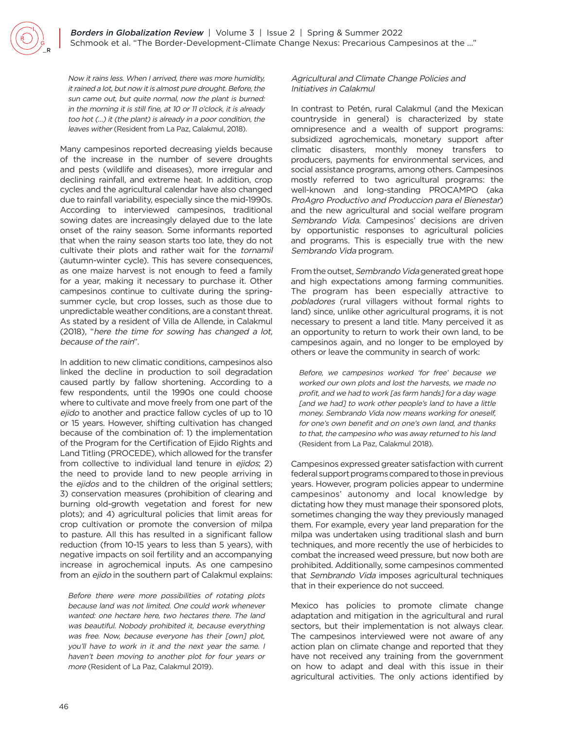Now it rains less. When I arrived, there was more humidity, it rained a lot, but now it is almost pure drought. Before, the sun came out, but quite normal, now the plant is burned: in the morning it is still fine, at 10 or 11 o'clock, it is already too hot (…) it (the plant) is already in a poor condition, the leaves wither (Resident from La Paz, Calakmul, 2018).

Many campesinos reported decreasing yields because of the increase in the number of severe droughts and pests (wildlife and diseases), more irregular and declining rainfall, and extreme heat. In addition, crop cycles and the agricultural calendar have also changed due to rainfall variability, especially since the mid-1990s. According to interviewed campesinos, traditional sowing dates are increasingly delayed due to the late onset of the rainy season. Some informants reported that when the rainy season starts too late, they do not cultivate their plots and rather wait for the tornamil (autumn-winter cycle). This has severe consequences, as one maize harvest is not enough to feed a family for a year, making it necessary to purchase it. Other campesinos continue to cultivate during the springsummer cycle, but crop losses, such as those due to unpredictable weather conditions, are a constant threat. As stated by a resident of Villa de Allende, in Calakmul (2018), "here the time for sowing has changed a lot, because of the rain".

In addition to new climatic conditions, campesinos also linked the decline in production to soil degradation caused partly by fallow shortening. According to a few respondents, until the 1990s one could choose where to cultivate and move freely from one part of the ejido to another and practice fallow cycles of up to 10 or 15 years. However, shifting cultivation has changed because of the combination of: 1) the implementation of the Program for the Certification of Ejido Rights and Land Titling (PROCEDE), which allowed for the transfer from collective to individual land tenure in ejidos; 2) the need to provide land to new people arriving in the ejidos and to the children of the original settlers; 3) conservation measures (prohibition of clearing and burning old-growth vegetation and forest for new plots); and 4) agricultural policies that limit areas for crop cultivation or promote the conversion of milpa to pasture. All this has resulted in a significant fallow reduction (from 10-15 years to less than 5 years), with negative impacts on soil fertility and an accompanying increase in agrochemical inputs. As one campesino from an ejido in the southern part of Calakmul explains:

Before there were more possibilities of rotating plots because land was not limited. One could work whenever wanted: one hectare here, two hectares there. The land was beautiful. Nobody prohibited it, because everything was free. Now, because everyone has their [own] plot, you'll have to work in it and the next year the same. I haven't been moving to another plot for four years or more (Resident of La Paz, Calakmul 2019).

#### Agricultural and Climate Change Policies and Initiatives in Calakmul

In contrast to Petén, rural Calakmul (and the Mexican countryside in general) is characterized by state omnipresence and a wealth of support programs: subsidized agrochemicals, monetary support after climatic disasters, monthly money transfers to producers, payments for environmental services, and social assistance programs, among others. Campesinos mostly referred to two agricultural programs: the well-known and long-standing PROCAMPO (aka ProAgro Productivo and Produccion para el Bienestar) and the new agricultural and social welfare program Sembrando Vida. Campesinos' decisions are driven by opportunistic responses to agricultural policies and programs. This is especially true with the new Sembrando Vida program.

From the outset, Sembrando Vida generated great hope and high expectations among farming communities. The program has been especially attractive to pobladores (rural villagers without formal rights to land) since, unlike other agricultural programs, it is not necessary to present a land title. Many perceived it as an opportunity to return to work their own land, to be campesinos again, and no longer to be employed by others or leave the community in search of work:

Before, we campesinos worked 'for free' because we worked our own plots and lost the harvests, we made no profit, and we had to work [as farm hands] for a day wage [and we had] to work other people's land to have a little money. Sembrando Vida now means working for oneself, for one's own benefit and on one's own land, and thanks to that, the campesino who was away returned to his land (Resident from La Paz, Calakmul 2018).

Campesinos expressed greater satisfaction with current federal support programs compared to those in previous years. However, program policies appear to undermine campesinos' autonomy and local knowledge by dictating how they must manage their sponsored plots, sometimes changing the way they previously managed them. For example, every year land preparation for the milpa was undertaken using traditional slash and burn techniques, and more recently the use of herbicides to combat the increased weed pressure, but now both are prohibited. Additionally, some campesinos commented that Sembrando Vida imposes agricultural techniques that in their experience do not succeed.

Mexico has policies to promote climate change adaptation and mitigation in the agricultural and rural sectors, but their implementation is not always clear. The campesinos interviewed were not aware of any action plan on climate change and reported that they have not received any training from the government on how to adapt and deal with this issue in their agricultural activities. The only actions identified by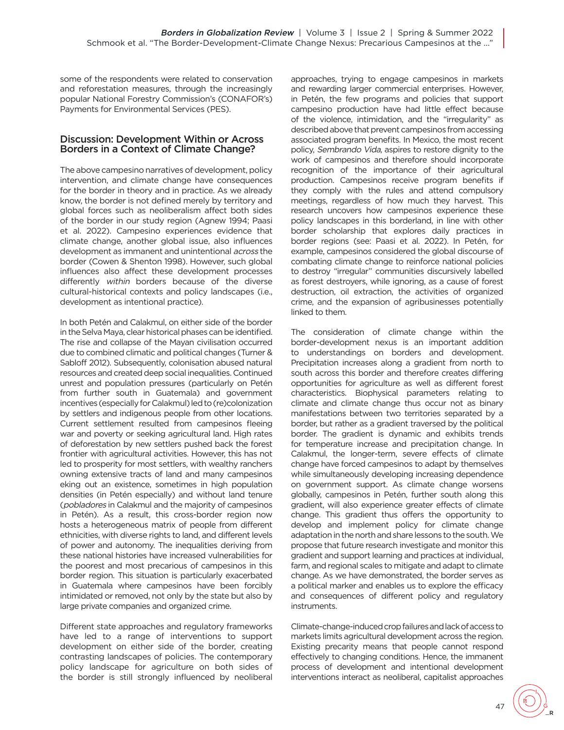some of the respondents were related to conservation and reforestation measures, through the increasingly popular National Forestry Commission's (CONAFOR's) Payments for Environmental Services (PES).

### Discussion: Development Within or Across Borders in a Context of Climate Change?

The above campesino narratives of development, policy intervention, and climate change have consequences for the border in theory and in practice. As we already know, the border is not defined merely by territory and global forces such as neoliberalism affect both sides of the border in our study region (Agnew 1994; Paasi et al. 2022). Campesino experiences evidence that climate change, another global issue, also influences development as immanent and unintentional across the border (Cowen & Shenton 1998). However, such global influences also affect these development processes differently within borders because of the diverse cultural-historical contexts and policy landscapes (i.e., development as intentional practice).

In both Petén and Calakmul, on either side of the border in the Selva Maya, clear historical phases can be identified. The rise and collapse of the Mayan civilisation occurred due to combined climatic and political changes (Turner & Sabloff 2012). Subsequently, colonisation abused natural resources and created deep social inequalities. Continued unrest and population pressures (particularly on Petén from further south in Guatemala) and government incentives (especially for Calakmul) led to (re)colonization by settlers and indigenous people from other locations. Current settlement resulted from campesinos fleeing war and poverty or seeking agricultural land. High rates of deforestation by new settlers pushed back the forest frontier with agricultural activities. However, this has not led to prosperity for most settlers, with wealthy ranchers owning extensive tracts of land and many campesinos eking out an existence, sometimes in high population densities (in Petén especially) and without land tenure (pobladores in Calakmul and the majority of campesinos in Petén). As a result, this cross-border region now hosts a heterogeneous matrix of people from different ethnicities, with diverse rights to land, and different levels of power and autonomy. The inequalities deriving from these national histories have increased vulnerabilities for the poorest and most precarious of campesinos in this border region. This situation is particularly exacerbated in Guatemala where campesinos have been forcibly intimidated or removed, not only by the state but also by large private companies and organized crime.

Different state approaches and regulatory frameworks have led to a range of interventions to support development on either side of the border, creating contrasting landscapes of policies. The contemporary policy landscape for agriculture on both sides of the border is still strongly influenced by neoliberal

approaches, trying to engage campesinos in markets and rewarding larger commercial enterprises. However, in Petén, the few programs and policies that support campesino production have had little effect because of the violence, intimidation, and the "irregularity" as described above that prevent campesinos from accessing associated program benefits. In Mexico, the most recent policy, Sembrando Vida, aspires to restore dignity to the work of campesinos and therefore should incorporate recognition of the importance of their agricultural production. Campesinos receive program benefits if they comply with the rules and attend compulsory meetings, regardless of how much they harvest. This research uncovers how campesinos experience these policy landscapes in this borderland, in line with other border scholarship that explores daily practices in border regions (see: Paasi et al. 2022). In Petén, for example, campesinos considered the global discourse of combating climate change to reinforce national policies to destroy "irregular" communities discursively labelled as forest destroyers, while ignoring, as a cause of forest destruction, oil extraction, the activities of organized crime, and the expansion of agribusinesses potentially linked to them.

The consideration of climate change within the border-development nexus is an important addition to understandings on borders and development. Precipitation increases along a gradient from north to south across this border and therefore creates differing opportunities for agriculture as well as different forest characteristics. Biophysical parameters relating to climate and climate change thus occur not as binary manifestations between two territories separated by a border, but rather as a gradient traversed by the political border. The gradient is dynamic and exhibits trends for temperature increase and precipitation change. In Calakmul, the longer-term, severe effects of climate change have forced campesinos to adapt by themselves while simultaneously developing increasing dependence on government support. As climate change worsens globally, campesinos in Petén, further south along this gradient, will also experience greater effects of climate change. This gradient thus offers the opportunity to develop and implement policy for climate change adaptation in the north and share lessons to the south. We propose that future research investigate and monitor this gradient and support learning and practices at individual, farm, and regional scales to mitigate and adapt to climate change. As we have demonstrated, the border serves as a political marker and enables us to explore the efficacy and consequences of different policy and regulatory instruments.

Climate-change-induced crop failures and lack of access to markets limits agricultural development across the region. Existing precarity means that people cannot respond effectively to changing conditions. Hence, the immanent process of development and intentional development interventions interact as neoliberal, capitalist approaches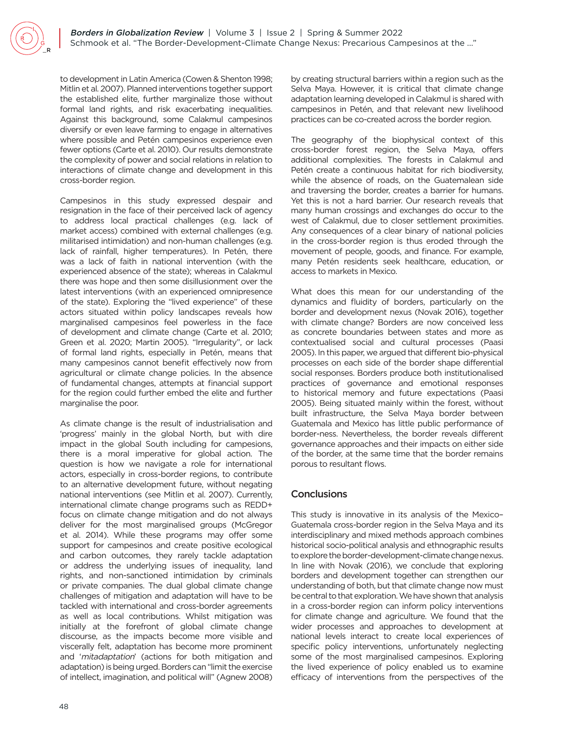to development in Latin America (Cowen & Shenton 1998; Mitlin et al. 2007). Planned interventions together support the established elite, further marginalize those without formal land rights, and risk exacerbating inequalities. Against this background, some Calakmul campesinos diversify or even leave farming to engage in alternatives where possible and Petén campesinos experience even fewer options (Carte et al. 2010). Our results demonstrate the complexity of power and social relations in relation to interactions of climate change and development in this cross-border region.

Campesinos in this study expressed despair and resignation in the face of their perceived lack of agency to address local practical challenges (e.g. lack of market access) combined with external challenges (e.g. militarised intimidation) and non-human challenges (e.g. lack of rainfall, higher temperatures). In Petén, there was a lack of faith in national intervention (with the experienced absence of the state); whereas in Calakmul there was hope and then some disillusionment over the latest interventions (with an experienced omnipresence of the state). Exploring the "lived experience" of these actors situated within policy landscapes reveals how marginalised campesinos feel powerless in the face of development and climate change (Carte et al. 2010; Green et al. 2020; Martin 2005). "Irregularity", or lack of formal land rights, especially in Petén, means that many campesinos cannot benefit effectively now from agricultural or climate change policies. In the absence of fundamental changes, attempts at financial support for the region could further embed the elite and further marginalise the poor.

As climate change is the result of industrialisation and 'progress' mainly in the global North, but with dire impact in the global South including for campesions, there is a moral imperative for global action. The question is how we navigate a role for international actors, especially in cross-border regions, to contribute to an alternative development future, without negating national interventions (see Mitlin et al. 2007). Currently, international climate change programs such as REDD+ focus on climate change mitigation and do not always deliver for the most marginalised groups (McGregor et al. 2014). While these programs may offer some support for campesinos and create positive ecological and carbon outcomes, they rarely tackle adaptation or address the underlying issues of inequality, land rights, and non-sanctioned intimidation by criminals or private companies. The dual global climate change challenges of mitigation and adaptation will have to be tackled with international and cross-border agreements as well as local contributions. Whilst mitigation was initially at the forefront of global climate change discourse, as the impacts become more visible and viscerally felt, adaptation has become more prominent and 'mitadaptation' (actions for both mitigation and adaptation) is being urged. Borders can "limit the exercise of intellect, imagination, and political will" (Agnew 2008)

by creating structural barriers within a region such as the Selva Maya. However, it is critical that climate change adaptation learning developed in Calakmul is shared with campesinos in Petén, and that relevant new livelihood practices can be co-created across the border region.

The geography of the biophysical context of this cross-border forest region, the Selva Maya, offers additional complexities. The forests in Calakmul and Petén create a continuous habitat for rich biodiversity, while the absence of roads, on the Guatemalean side and traversing the border, creates a barrier for humans. Yet this is not a hard barrier. Our research reveals that many human crossings and exchanges do occur to the west of Calakmul, due to closer settlement proximities. Any consequences of a clear binary of national policies in the cross-border region is thus eroded through the movement of people, goods, and finance. For example, many Petén residents seek healthcare, education, or access to markets in Mexico.

What does this mean for our understanding of the dynamics and fluidity of borders, particularly on the border and development nexus (Novak 2016), together with climate change? Borders are now conceived less as concrete boundaries between states and more as contextualised social and cultural processes (Paasi 2005). In this paper, we argued that different bio-physical processes on each side of the border shape differential social responses. Borders produce both institutionalised practices of governance and emotional responses to historical memory and future expectations (Paasi 2005). Being situated mainly within the forest, without built infrastructure, the Selva Maya border between Guatemala and Mexico has little public performance of border-ness. Nevertheless, the border reveals different governance approaches and their impacts on either side of the border, at the same time that the border remains porous to resultant flows.

## **Conclusions**

This study is innovative in its analysis of the Mexico– Guatemala cross-border region in the Selva Maya and its interdisciplinary and mixed methods approach combines historical socio-political analysis and ethnographic results to explore the border-development-climate change nexus. In line with Novak (2016), we conclude that exploring borders and development together can strengthen our understanding of both, but that climate change now must be central to that exploration. We have shown that analysis in a cross-border region can inform policy interventions for climate change and agriculture. We found that the wider processes and approaches to development at national levels interact to create local experiences of specific policy interventions, unfortunately neglecting some of the most marginalised campesinos. Exploring the lived experience of policy enabled us to examine efficacy of interventions from the perspectives of the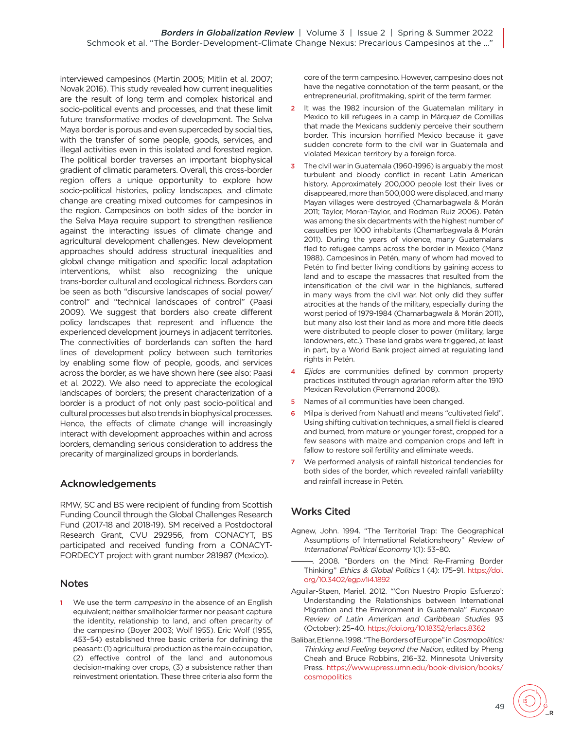interviewed campesinos (Martin 2005; Mitlin et al. 2007; Novak 2016). This study revealed how current inequalities are the result of long term and complex historical and socio-political events and processes, and that these limit future transformative modes of development. The Selva Maya border is porous and even superceded by social ties, with the transfer of some people, goods, services, and illegal activities even in this isolated and forested region. The political border traverses an important biophysical gradient of climatic parameters. Overall, this cross-border region offers a unique opportunity to explore how socio-political histories, policy landscapes, and climate change are creating mixed outcomes for campesinos in the region. Campesinos on both sides of the border in the Selva Maya require support to strengthen resilience against the interacting issues of climate change and agricultural development challenges. New development approaches should address structural inequalities and global change mitigation and specific local adaptation interventions, whilst also recognizing the unique trans-border cultural and ecological richness. Borders can be seen as both "discursive landscapes of social power/ control" and "technical landscapes of control" (Paasi 2009). We suggest that borders also create different policy landscapes that represent and influence the experienced development journeys in adjacent territories. The connectivities of borderlands can soften the hard lines of development policy between such territories by enabling some flow of people, goods, and services across the border, as we have shown here (see also: Paasi et al. 2022). We also need to appreciate the ecological landscapes of borders; the present characterization of a border is a product of not only past socio-political and cultural processes but also trends in biophysical processes. Hence, the effects of climate change will increasingly interact with development approaches within and across borders, demanding serious consideration to address the precarity of marginalized groups in borderlands.

## Acknowledgements

RMW, SC and BS were recipient of funding from Scottish Funding Council through the Global Challenges Research Fund (2017-18 and 2018-19). SM received a Postdoctoral Research Grant, CVU 292956, from CONACYT, BS participated and received funding from a CONACYT-FORDECYT project with grant number 281987 (Mexico).

## Notes

<span id="page-11-0"></span>[1](#page-1-0) We use the term campesino in the absence of an English equivalent; neither smallholder farmer nor peasant capture the identity, relationship to land, and often precarity of the campesino (Boyer 2003; Wolf 1955). Eric Wolf (1955, 453–54) established three basic criteria for defining the peasant: (1) agricultural production as the main occupation, (2) effective control of the land and autonomous decision-making over crops, (3) a subsistence rather than reinvestment orientation. These three criteria also form the core of the term campesino. However, campesino does not have the negative connotation of the term peasant, or the entrepreneurial, profitmaking, spirit of the term farmer.

- <span id="page-11-1"></span>[2](#page-1-1) It was the 1982 incursion of the Guatemalan military in Mexico to kill refugees in a camp in Márquez de Comillas that made the Mexicans suddenly perceive their southern border. This incursion horrified Mexico because it gave sudden concrete form to the civil war in Guatemala and violated Mexican territory by a foreign force.
- <span id="page-11-2"></span>[3](#page-1-1) The civil war in Guatemala (1960-1996) is arguably the most turbulent and bloody conflict in recent Latin American history. Approximately 200,000 people lost their lives or disappeared, more than 500,000 were displaced, and many Mayan villages were destroyed (Chamarbagwala & Morán 2011; Taylor, Moran-Taylor, and Rodman Ruiz 2006). Petén was among the six departments with the highest number of casualties per 1000 inhabitants (Chamarbagwala & Morán 2011). During the years of violence, many Guatemalans fled to refugee camps across the border in Mexico (Manz 1988). Campesinos in Petén, many of whom had moved to Petén to find better living conditions by gaining access to land and to escape the massacres that resulted from the intensification of the civil war in the highlands, suffered in many ways from the civil war. Not only did they suffer atrocities at the hands of the military, especially during the worst period of 1979-1984 (Chamarbagwala & Morán 2011), but many also lost their land as more and more title deeds were distributed to people closer to power (military, large landowners, etc.). These land grabs were triggered, at least in part, by a World Bank project aimed at regulating land rights in Petén.
- <span id="page-11-3"></span>[4](#page-3-0) Ejidos are communities defined by common property practices instituted through agrarian reform after the 1910 Mexican Revolution (Perramond 2008).
- <span id="page-11-4"></span>[5](#page-3-0) Names of all communities have been changed.
- <span id="page-11-5"></span>[6](#page-3-1) Milpa is derived from Nahuatl and means "cultivated field". Using shifting cultivation techniques, a small field is cleared and burned, from mature or younger forest, cropped for a few seasons with maize and companion crops and left in fallow to restore soil fertility and eliminate weeds.
- <span id="page-11-6"></span>[7](#page-7-0) We performed analysis of rainfall historical tendencies for both sides of the border, which revealed rainfall variablilty and rainfall increase in Petén.

# Works Cited

- Agnew, John. 1994. "The Territorial Trap: The Geographical Assumptions of International Relationsheory" Review of International Political Economy 1(1): 53–80.
- 2008. "Borders on the Mind: Re-Framing Border Thinking" Ethics & Global Politics 1 (4): 175–91. [https://doi.](https://doi.org/10.3402/egp.v1i4.1892) [org/10.3402/egp.v1i4.1892](https://doi.org/10.3402/egp.v1i4.1892)
- Aguilar-Støen, Mariel. 2012. "'Con Nuestro Propio Esfuerzo': Understanding the Relationships between International Migration and the Environment in Guatemala" European Review of Latin American and Caribbean Studies 93 (October): 25–40.<https://doi.org/10.18352/erlacs.8362>
- Balibar, Etienne. 1998. "The Borders of Europe" in Cosmopolitics: Thinking and Feeling beyond the Nation, edited by Pheng Cheah and Bruce Robbins, 216–32. Minnesota University Press. [https://www.upress.umn.edu/book-division/books/](https://www.upress.umn.edu/book-division/books/cosmopolitics) [cosmopolitics](https://www.upress.umn.edu/book-division/books/cosmopolitics)

49  $\bigcup_{R}$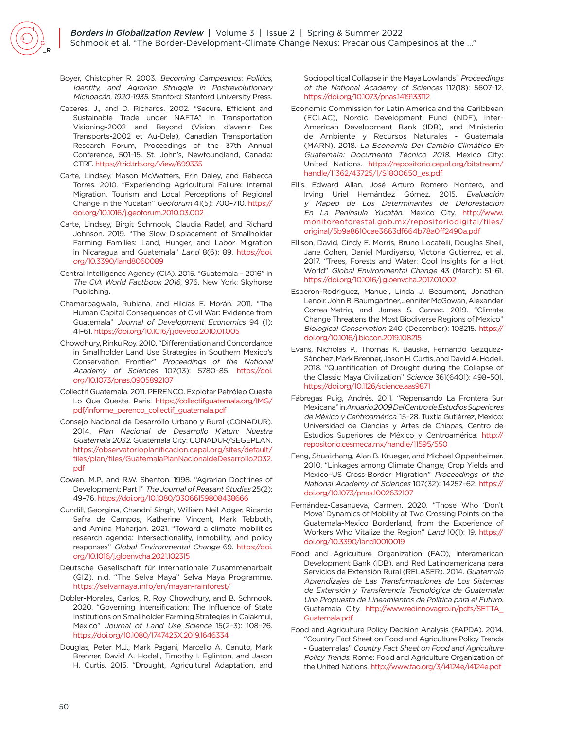- Boyer, Chistopher R. 2003. Becoming Campesinos: Politics, Identity, and Agrarian Struggle in Postrevolutionary Michoacán, 1920-1935. Stanford: Stanford University Press.
- Caceres, J., and D. Richards. 2002. "Secure, Efficient and Sustainable Trade under NAFTA" in Transportation Visioning-2002 and Beyond (Vision d'avenir Des Transports-2002 et Au-Dela), Canadian Transportation Research Forum, Proceedings of the 37th Annual Conference, 501–15. St. John's, Newfoundland, Canada: CTRF. <https://trid.trb.org/View/699335>
- Carte, Lindsey, Mason McWatters, Erin Daley, and Rebecca Torres. 2010. "Experiencing Agricultural Failure: Internal Migration, Tourism and Local Perceptions of Regional Change in the Yucatan" Geoforum 41(5): 700–710. [https://](https://doi.org/10.1016/j.geoforum.2010.03.002) [doi.org/10.1016/j.geoforum.2010.03.002](https://doi.org/10.1016/j.geoforum.2010.03.002)
- Carte, Lindsey, Birgit Schmook, Claudia Radel, and Richard Johnson. 2019. "The Slow Displacement of Smallholder Farming Families: Land, Hunger, and Labor Migration in Nicaragua and Guatemala" Land 8(6): 89. [https://doi.](https://doi.org/10.3390/land8060089) [org/10.3390/land8060089](https://doi.org/10.3390/land8060089)
- Central Intelligence Agency (CIA). 2015. "Guatemala 2016" in The CIA World Factbook 2016, 976. New York: Skyhorse Publishing.
- Chamarbagwala, Rubiana, and Hilcías E. Morán. 2011. "The Human Capital Consequences of Civil War: Evidence from Guatemala" Journal of Development Economics 94 (1): 41–61.<https://doi.org/10.1016/j.jdeveco.2010.01.005>
- Chowdhury, Rinku Roy. 2010. "Differentiation and Concordance in Smallholder Land Use Strategies in Southern Mexico's Conservation Frontier" Proceedings of the National Academy of Sciences 107(13): 5780–85. [https://doi.](https://doi.org/10.1073/pnas.0905892107) [org/10.1073/pnas.0905892107](https://doi.org/10.1073/pnas.0905892107)
- Collectif Guatemala. 2011. PERENCO. Explotar Petróleo Cueste Lo Que Queste. Paris. [https://collectifguatemala.org/IMG/](https://collectifguatemala.org/IMG/pdf/informe_perenco_collectif_guatemala.pdf) [pdf/informe\\_perenco\\_collectif\\_guatemala.pdf](https://collectifguatemala.org/IMG/pdf/informe_perenco_collectif_guatemala.pdf)
- Consejo Nacional de Desarrollo Urbano y Rural (CONADUR). 2014. Plan Nacional de Desarrollo K'atun: Nuestra Guatemala 2032. Guatemala City: CONADUR/SEGEPLAN. [https://observatorioplanificacion.cepal.org/sites/default/](https://observatorioplanificacion.cepal.org/sites/default/files/plan/files/GuatemalaPlanNacionaldeDesarrollo2032.pdf) [files/plan/files/GuatemalaPlanNacionaldeDesarrollo2032.](https://observatorioplanificacion.cepal.org/sites/default/files/plan/files/GuatemalaPlanNacionaldeDesarrollo2032.pdf) [pdf](https://observatorioplanificacion.cepal.org/sites/default/files/plan/files/GuatemalaPlanNacionaldeDesarrollo2032.pdf)
- Cowen, M.P., and R.W. Shenton. 1998. "Agrarian Doctrines of Development: Part I" The Journal of Peasant Studies 25(2): 49–76.<https://doi.org/10.1080/03066159808438666>
- Cundill, Georgina, Chandni Singh, William Neil Adger, Ricardo Safra de Campos, Katherine Vincent, Mark Tebboth, and Amina Maharjan. 2021. "Toward a climate mobilities research agenda: Intersectionality, inmobility, and policy responses" Global Environmental Change 69. [https://doi.](https://doi.org/10.1016/j.gloenvcha.2021.102315) [org/10.1016/j.gloenvcha.2021.102315](https://doi.org/10.1016/j.gloenvcha.2021.102315)
- Deutsche Gesellschaft für Internationale Zusammenarbeit (GIZ). n.d. "The Selva Maya" Selva Maya Programme. <https://selvamaya.info/en/mayan-rainforest/>
- Dobler-Morales, Carlos, R. Roy Chowdhury, and B. Schmook. 2020. "Governing Intensification: The Influence of State Institutions on Smallholder Farming Strategies in Calakmul, Mexico" Journal of Land Use Science 15(2–3): 108–26. <https://doi.org/10.1080/1747423X.2019.1646334>
- Douglas, Peter M.J., Mark Pagani, Marcello A. Canuto, Mark Brenner, David A. Hodell, Timothy I. Eglinton, and Jason H. Curtis. 2015. "Drought, Agricultural Adaptation, and

Sociopolitical Collapse in the Maya Lowlands" Proceedings of the National Academy of Sciences 112(18): 5607–12. <https://doi.org/10.1073/pnas.1419133112>

- Economic Commission for Latin America and the Caribbean (ECLAC), Nordic Development Fund (NDF), Inter-American Development Bank (IDB), and Ministerio de Ambiente y Recursos Naturales - Guatemala (MARN). 2018. La Economía Del Cambio Climático En Guatemala: Documento Técnico 2018. Mexico City: United Nations. [https://repositorio.cepal.org/bitstream/](https://repositorio.cepal.org/bitstream/handle/11362/43725/1/S1800650_es.pdf) [handle/11362/43725/1/S1800650\\_es.pdf](https://repositorio.cepal.org/bitstream/handle/11362/43725/1/S1800650_es.pdf)
- Ellis, Edward Allan, José Arturo Romero Montero, and Irving Uriel Hernández Gómez. 2015. Evaluación y Mapeo de Los Determinantes de Deforestación En La Península Yucatán. Mexico City. [http://www.](http://www.monitoreoforestal.gob.mx/repositoriodigital/files/original/5b9a8610cae3663df664b78a0ff2490a.pdf) [monitoreoforestal.gob.mx/repositoriodigital/files/](http://www.monitoreoforestal.gob.mx/repositoriodigital/files/original/5b9a8610cae3663df664b78a0ff2490a.pdf) [original/5b9a8610cae3663df664b78a0ff2490a.pdf](http://www.monitoreoforestal.gob.mx/repositoriodigital/files/original/5b9a8610cae3663df664b78a0ff2490a.pdf)
- Ellison, David, Cindy E. Morris, Bruno Locatelli, Douglas Sheil, Jane Cohen, Daniel Murdiyarso, Victoria Gutierrez, et al. 2017. "Trees, Forests and Water: Cool Insights for a Hot World" Global Environmental Change 43 (March): 51–61. <https://doi.org/10.1016/j.gloenvcha.2017.01.002>
- Esperon-Rodriguez, Manuel, Linda J. Beaumont, Jonathan Lenoir, John B. Baumgartner, Jennifer McGowan, Alexander Correa-Metrio, and James S. Camac. 2019. "Climate Change Threatens the Most Biodiverse Regions of Mexico" Biological Conservation 240 (December): 108215. [https://](https://doi.org/10.1016/j.biocon.2019.108215) [doi.org/10.1016/j.biocon.2019.108215](https://doi.org/10.1016/j.biocon.2019.108215)
- Evans, Nicholas P., Thomas K. Bauska, Fernando Gázquez-Sánchez, Mark Brenner, Jason H. Curtis, and David A. Hodell. 2018. "Quantification of Drought during the Collapse of the Classic Maya Civilization" Science 361(6401): 498–501. <https://doi.org/10.1126/science.aas9871>
- Fábregas Puig, Andrés. 2011. "Repensando La Frontera Sur Mexicana" in Anuario 2009 Del Centro de Estudios Superiores de México y Centroamérica, 15–28. Tuxtla Gutiérrez, Mexico: Universidad de Ciencias y Artes de Chiapas, Centro de Estudios Superiores de México y Centroamérica. [http://](http://repositorio.cesmeca.mx/handle/11595/550) [repositorio.cesmeca.mx/handle/11595/550](http://repositorio.cesmeca.mx/handle/11595/550)
- Feng, Shuaizhang, Alan B. Krueger, and Michael Oppenheimer. 2010. "Linkages among Climate Change, Crop Yields and Mexico–US Cross-Border Migration" Proceedings of the National Academy of Sciences 107(32): 14257–62. [https://](https://doi.org/10.1073/pnas.1002632107) [doi.org/10.1073/pnas.1002632107](https://doi.org/10.1073/pnas.1002632107)
- Fernández-Casanueva, Carmen. 2020. "Those Who 'Don't Move' Dynamics of Mobility at Two Crossing Points on the Guatemala-Mexico Borderland, from the Experience of Workers Who Vitalize the Region" Land 10(1): 19. [https://](https://doi.org/10.3390/land10010019) [doi.org/10.3390/land10010019](https://doi.org/10.3390/land10010019)
- Food and Agriculture Organization (FAO), Interamerican Development Bank (IDB), and Red Latinoamericana para Servicios de Extensión Rural (RELASER). 2014. Guatemala Aprendizajes de Las Transformaciones de Los Sistemas de Extensión y Transferencia Tecnológica de Guatemala: Una Propuesta de Lineamientos de Política para el Futuro. Guatemala City. [http://www.redinnovagro.in/pdfs/SETTA\\_](http://www.redinnovagro.in/pdfs/SETTA_Guatemala.pdf) [Guatemala.pdf](http://www.redinnovagro.in/pdfs/SETTA_Guatemala.pdf)
- Food and Agriculture Policy Decision Analysis (FAPDA). 2014. "Country Fact Sheet on Food and Agriculture Policy Trends - Guatemalas" Country Fact Sheet on Food and Agriculture Policy Trends. Rome: Food and Agriculture Organization of the United Nations. <http://www.fao.org/3/i4124e/i4124e.pdf>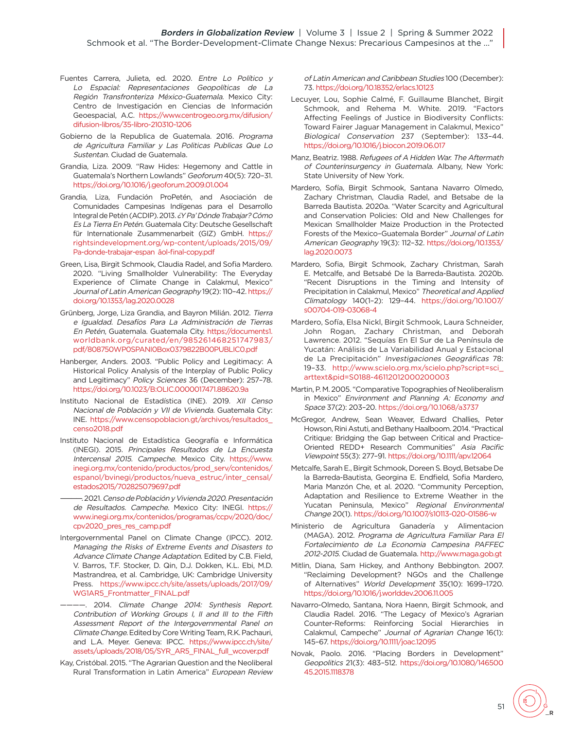- Fuentes Carrera, Julieta, ed. 2020. Entre Lo Político y Lo Espacial: Representaciones Geopolíticas de La Región Transfronteriza México-Guatemala. Mexico City: Centro de Investigación en Ciencias de Información Geoespacial, A.C. [https://www.centrogeo.org.mx/difusion/](https://www.centrogeo.org.mx/difusion/difusion-libros/35-libro-210310-1206) [difusion-libros/35-libro-210310-1206](https://www.centrogeo.org.mx/difusion/difusion-libros/35-libro-210310-1206)
- Gobierno de la Republica de Guatemala. 2016. Programa de Agricultura Familiar y Las Politicas Publicas Que Lo Sustentan. Ciudad de Guatemala.
- Grandia, Liza. 2009. "Raw Hides: Hegemony and Cattle in Guatemala's Northern Lowlands" Geoforum 40(5): 720–31. <https://doi.org/10.1016/j.geoforum.2009.01.004>
- Grandia, Liza, Fundación ProPetén, and Asociación de Comunidades Campesinas Indígenas para el Desarrollo Integral de Petén (ACDIP). 2013. ¿Y Pa' Dónde Trabajar? Cómo Es La Tierra En Petén. Guatemala City: Deutsche Gesellschaft für Internationale Zusammenarbeit (GIZ) GmbH. [https://](https://rightsindevelopment.org/wp-content/uploads/2015/09/Pa-donde-trabajar-espan¦âol-final-copy.pdf) [rightsindevelopment.org/wp-content/uploads/2015/09/](https://rightsindevelopment.org/wp-content/uploads/2015/09/Pa-donde-trabajar-espan¦âol-final-copy.pdf) [Pa-donde-trabajar-espan¦âol-final-copy.pdf](https://rightsindevelopment.org/wp-content/uploads/2015/09/Pa-donde-trabajar-espan¦âol-final-copy.pdf)
- Green, Lisa, Birgit Schmook, Claudia Radel, and Sofia Mardero. 2020. "Living Smallholder Vulnerability: The Everyday Experience of Climate Change in Calakmul, Mexico" Journal of Latin American Geography 19(2): 110–42. [https://](https://doi.org/10.1353/lag.2020.0028) [doi.org/10.1353/lag.2020.0028](https://doi.org/10.1353/lag.2020.0028)
- Grünberg, Jorge, Liza Grandia, and Bayron Milián. 2012. Tierra e Igualdad. Desafíos Para La Administración de Tierras En Petén, Guatemala. Guatemala City. [https://documents1.](https://documents1.worldbank.org/curated/en/985261468251747983/pdf/808750WP0SPANI0Box0379822B00PUBLIC0.pdf) [worldbank.org/curated/en/985261468251747983/](https://documents1.worldbank.org/curated/en/985261468251747983/pdf/808750WP0SPANI0Box0379822B00PUBLIC0.pdf) [pdf/808750WP0SPANI0Box0379822B00PUBLIC0.pdf](https://documents1.worldbank.org/curated/en/985261468251747983/pdf/808750WP0SPANI0Box0379822B00PUBLIC0.pdf)
- Hanberger, Anders. 2003. "Public Policy and Legitimacy: A Historical Policy Analysis of the Interplay of Public Policy and Legitimacy" Policy Sciences 36 (December): 257–78. <https://doi.org/10.1023/B:OLIC.0000017471.88620.9a>
- Instituto Nacional de Estadística (INE). 2019. XII Censo Nacional de Población y VII de Vivienda. Guatemala City: INE. [https://www.censopoblacion.gt/archivos/resultados\\_](https://www.censopoblacion.gt/archivos/resultados_censo2018.pdf) [censo2018.pdf](https://www.censopoblacion.gt/archivos/resultados_censo2018.pdf)
- Instituto Nacional de Estadística Geografía e Informática (INEGI). 2015. Principales Resultados de La Encuesta Intercensal 2015. Campeche. Mexico City. [https://www.](https://www.inegi.org.mx/contenido/productos/prod_serv/contenidos/espanol/bvinegi/productos/nueva_estruc/inter_censal/estados2015/702825079697.pdf) [inegi.org.mx/contenido/productos/prod\\_serv/contenidos/](https://www.inegi.org.mx/contenido/productos/prod_serv/contenidos/espanol/bvinegi/productos/nueva_estruc/inter_censal/estados2015/702825079697.pdf) [espanol/bvinegi/productos/nueva\\_estruc/inter\\_censal/](https://www.inegi.org.mx/contenido/productos/prod_serv/contenidos/espanol/bvinegi/productos/nueva_estruc/inter_censal/estados2015/702825079697.pdf) [estados2015/702825079697.pdf](https://www.inegi.org.mx/contenido/productos/prod_serv/contenidos/espanol/bvinegi/productos/nueva_estruc/inter_censal/estados2015/702825079697.pdf)
	- ————. 2021. Censo de Población y Vivienda 2020. Presentación de Resultados. Campeche. Mexico City: INEGI. [https://](https://www.inegi.org.mx/contenidos/programas/ccpv/2020/doc/cpv2020_pres_res_camp.pdf) [www.inegi.org.mx/contenidos/programas/ccpv/2020/doc/](https://www.inegi.org.mx/contenidos/programas/ccpv/2020/doc/cpv2020_pres_res_camp.pdf) [cpv2020\\_pres\\_res\\_camp.pdf](https://www.inegi.org.mx/contenidos/programas/ccpv/2020/doc/cpv2020_pres_res_camp.pdf)
- Intergovernmental Panel on Climate Change (IPCC). 2012. Managing the Risks of Extreme Events and Disasters to Advance Climate Change Adaptation. Edited by C.B. Field, V. Barros, T.F. Stocker, D. Qin, D.J. Dokken, K.L. Ebi, M.D. Mastrandrea, et al. Cambridge, UK: Cambridge University Press. [https://www.ipcc.ch/site/assets/uploads/2017/09/](https://www.ipcc.ch/site/assets/uploads/2017/09/WG1AR5_Frontmatter_FINAL.pdf) [WG1AR5\\_Frontmatter\\_FINAL.pdf](https://www.ipcc.ch/site/assets/uploads/2017/09/WG1AR5_Frontmatter_FINAL.pdf)
	- ————. 2014. Climate Change 2014: Synthesis Report. Contribution of Working Groups I, II and III to the Fifth Assessment Report of the Intergovernmental Panel on Climate Change. Edited by Core Writing Team, R.K. Pachauri, and L.A. Meyer. Geneva: IPCC. [https://www.ipcc.ch/site/](https://www.ipcc.ch/site/assets/uploads/2018/05/SYR_AR5_FINAL_full_wcover.pdf) [assets/uploads/2018/05/SYR\\_AR5\\_FINAL\\_full\\_wcover.pdf](https://www.ipcc.ch/site/assets/uploads/2018/05/SYR_AR5_FINAL_full_wcover.pdf)
- Kay, Cristóbal. 2015. "The Agrarian Question and the Neoliberal Rural Transformation in Latin America" European Review

of Latin American and Caribbean Studies 100 (December): 73.<https://doi.org/10.18352/erlacs.10123>

- Lecuyer, Lou, Sophie Calmé, F. Guillaume Blanchet, Birgit Schmook, and Rehema M. White. 2019. "Factors Affecting Feelings of Justice in Biodiversity Conflicts: Toward Fairer Jaguar Management in Calakmul, Mexico" Biological Conservation 237 (September): 133–44. <https://doi.org/10.1016/j.biocon.2019.06.017>
- Manz, Beatriz. 1988. Refugees of A Hidden War. The Aftermath of Counterinsurgency in Guatemala. Albany, New York: State University of New York.
- Mardero, Sofía, Birgit Schmook, Santana Navarro Olmedo, Zachary Christman, Claudia Radel, and Betsabe de la Barreda Bautista. 2020a. "Water Scarcity and Agricultural and Conservation Policies: Old and New Challenges for Mexican Smallholder Maize Production in the Protected Forests of the Mexico–Guatemala Border" Journal of Latin American Geography 19(3): 112–32. [https://doi.org/10.1353/](https://doi.org/10.1353/lag.2020.0073) [lag.2020.0073](https://doi.org/10.1353/lag.2020.0073)
- Mardero, Sofia, Birgit Schmook, Zachary Christman, Sarah E. Metcalfe, and Betsabé De la Barreda-Bautista. 2020b. "Recent Disruptions in the Timing and Intensity of Precipitation in Calakmul, Mexico" Theoretical and Applied Climatology 140(1–2): 129–44. [https://doi.org/10.1007/](https://doi.org/10.1007/s00704-019-03068-4) [s00704-019-03068-4](https://doi.org/10.1007/s00704-019-03068-4)
- Mardero, Sofía, Elsa Nickl, Birgit Schmook, Laura Schneider, John Rogan, Zachary Christman, and Deborah Lawrence. 2012. "Sequías En El Sur de La Península de Yucatán: Análisis de La Variabilidad Anual y Estacional de La Precipitación" Investigaciones Geográficas 78: 19–33. [http://www.scielo.org.mx/scielo.php?script=sci\\_](http://www.scielo.org.mx/scielo.php?script=sci_arttext&pid=S0188-46112012000200003) [arttext&pid=S0188-46112012000200003](http://www.scielo.org.mx/scielo.php?script=sci_arttext&pid=S0188-46112012000200003)
- Martin, P. M. 2005. "Comparative Topographies of Neoliberalism in Mexico" Environment and Planning A: Economy and Space 37(2): 203–20.<https://doi.org/10.1068/a3737>
- McGregor, Andrew, Sean Weaver, Edward Challies, Peter Howson, Rini Astuti, and Bethany Haalboom. 2014. "Practical Critique: Bridging the Gap between Critical and Practice-Oriented REDD+ Research Communities" Asia Pacific Viewpoint 55(3): 277–91.<https://doi.org/10.1111/apv.12064>
- Metcalfe, Sarah E., Birgit Schmook, Doreen S. Boyd, Betsabe De la Barreda-Bautista, Georgina E. Endfield, Sofia Mardero, Maria Manzón Che, et al. 2020. "Community Perception, Adaptation and Resilience to Extreme Weather in the Yucatan Peninsula, Mexico" Regional Environmental Change 20(1).<https://doi.org/10.1007/s10113-020-01586-w>
- Ministerio de Agricultura Ganadería y Alimentacion (MAGA). 2012. Programa de Agricultura Familiar Para El Fortalecimiento de La Economia Campesina PAFFEC 2012-2015. Ciudad de Guatemala.<http://www.maga.gob.gt>
- Mitlin, Diana, Sam Hickey, and Anthony Bebbington. 2007. "Reclaiming Development? NGOs and the Challenge of Alternatives" World Development 35(10): 1699–1720. <https://doi.org/10.1016/j.worlddev.2006.11.005>
- Navarro-Olmedo, Santana, Nora Haenn, Birgit Schmook, and Claudia Radel. 2016. "The Legacy of Mexico's Agrarian Counter-Reforms: Reinforcing Social Hierarchies in Calakmul, Campeche" Journal of Agrarian Change 16(1): 145–67.<https://doi.org/10.1111/joac.12095>
- Novak, Paolo. 2016. "Placing Borders in Development" Geopolitics 21(3): 483–512. [https://doi.org/10.1080/146500](https://doi.org/10.1080/14650045.2015.1118378) [45.2015.1118378](https://doi.org/10.1080/14650045.2015.1118378)

51  $\bigcup_{\mathsf{R}}$